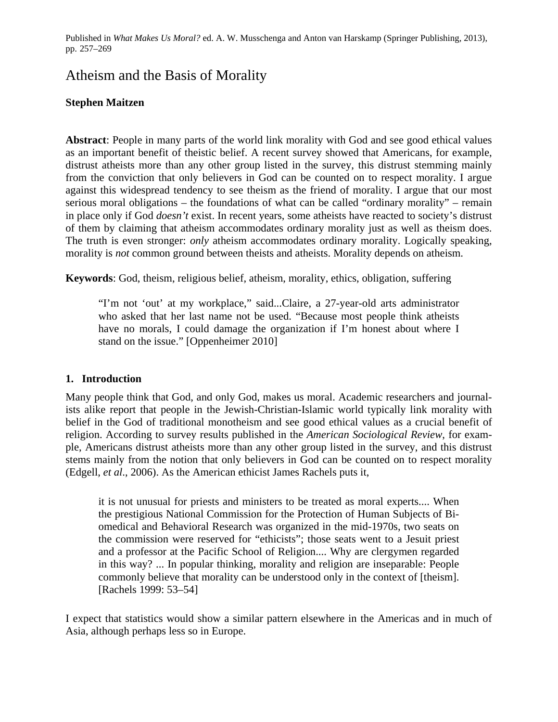Published in *What Makes Us Moral?* ed. A. W. Musschenga and Anton van Harskamp (Springer Publishing, 2013), pp. 257–269

# Atheism and the Basis of Morality

# **Stephen Maitzen**

**Abstract**: People in many parts of the world link morality with God and see good ethical values as an important benefit of theistic belief. A recent survey showed that Americans, for example, distrust atheists more than any other group listed in the survey, this distrust stemming mainly from the conviction that only believers in God can be counted on to respect morality. I argue against this widespread tendency to see theism as the friend of morality. I argue that our most serious moral obligations – the foundations of what can be called "ordinary morality" – remain in place only if God *doesn't* exist. In recent years, some atheists have reacted to society's distrust of them by claiming that atheism accommodates ordinary morality just as well as theism does. The truth is even stronger: *only* atheism accommodates ordinary morality. Logically speaking, morality is *not* common ground between theists and atheists. Morality depends on atheism.

**Keywords**: God, theism, religious belief, atheism, morality, ethics, obligation, suffering

"I'm not 'out' at my workplace," said...Claire, a 27-year-old arts administrator who asked that her last name not be used. "Because most people think atheists have no morals, I could damage the organization if I'm honest about where I stand on the issue." [Oppenheimer 2010]

# **1. Introduction**

Many people think that God, and only God, makes us moral. Academic researchers and journalists alike report that people in the Jewish-Christian-Islamic world typically link morality with belief in the God of traditional monotheism and see good ethical values as a crucial benefit of religion. According to survey results published in the *American Sociological Review*, for example, Americans distrust atheists more than any other group listed in the survey, and this distrust stems mainly from the notion that only believers in God can be counted on to respect morality (Edgell, *et al*., 2006). As the American ethicist James Rachels puts it,

it is not unusual for priests and ministers to be treated as moral experts.... When the prestigious National Commission for the Protection of Human Subjects of Biomedical and Behavioral Research was organized in the mid-1970s, two seats on the commission were reserved for "ethicists"; those seats went to a Jesuit priest and a professor at the Pacific School of Religion.... Why are clergymen regarded in this way? ... In popular thinking, morality and religion are inseparable: People commonly believe that morality can be understood only in the context of [theism]. [Rachels 1999: 53–54]

I expect that statistics would show a similar pattern elsewhere in the Americas and in much of Asia, although perhaps less so in Europe.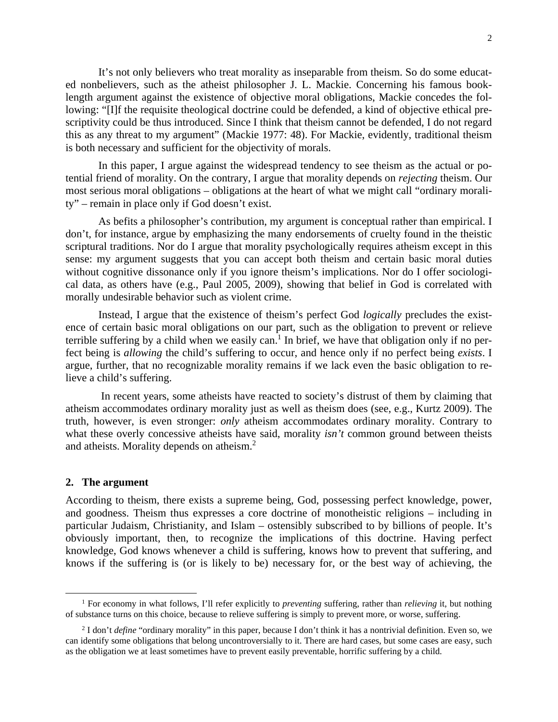It's not only believers who treat morality as inseparable from theism. So do some educated nonbelievers, such as the atheist philosopher J. L. Mackie. Concerning his famous booklength argument against the existence of objective moral obligations, Mackie concedes the following: "[I]f the requisite theological doctrine could be defended, a kind of objective ethical prescriptivity could be thus introduced. Since I think that theism cannot be defended, I do not regard this as any threat to my argument" (Mackie 1977: 48). For Mackie, evidently, traditional theism is both necessary and sufficient for the objectivity of morals.

 In this paper, I argue against the widespread tendency to see theism as the actual or potential friend of morality. On the contrary, I argue that morality depends on *rejecting* theism. Our most serious moral obligations – obligations at the heart of what we might call "ordinary morality" – remain in place only if God doesn't exist.

 As befits a philosopher's contribution, my argument is conceptual rather than empirical. I don't, for instance, argue by emphasizing the many endorsements of cruelty found in the theistic scriptural traditions. Nor do I argue that morality psychologically requires atheism except in this sense: my argument suggests that you can accept both theism and certain basic moral duties without cognitive dissonance only if you ignore theism's implications. Nor do I offer sociological data, as others have (e.g., Paul 2005, 2009), showing that belief in God is correlated with morally undesirable behavior such as violent crime.

 Instead, I argue that the existence of theism's perfect God *logically* precludes the existence of certain basic moral obligations on our part, such as the obligation to prevent or relieve terrible suffering by a child when we easily can.<sup>1</sup> In brief, we have that obligation only if no perfect being is *allowing* the child's suffering to occur, and hence only if no perfect being *exists*. I argue, further, that no recognizable morality remains if we lack even the basic obligation to relieve a child's suffering.

 In recent years, some atheists have reacted to society's distrust of them by claiming that atheism accommodates ordinary morality just as well as theism does (see, e.g., Kurtz 2009). The truth, however, is even stronger: *only* atheism accommodates ordinary morality. Contrary to what these overly concessive atheists have said, morality *isn't* common ground between theists and atheists. Morality depends on atheism.<sup>2</sup>

# **2. The argument**

According to theism, there exists a supreme being, God, possessing perfect knowledge, power, and goodness. Theism thus expresses a core doctrine of monotheistic religions – including in particular Judaism, Christianity, and Islam – ostensibly subscribed to by billions of people. It's obviously important, then, to recognize the implications of this doctrine. Having perfect knowledge, God knows whenever a child is suffering, knows how to prevent that suffering, and knows if the suffering is (or is likely to be) necessary for, or the best way of achieving, the

 $\frac{1}{1}$  For economy in what follows, I'll refer explicitly to *preventing* suffering, rather than *relieving* it, but nothing of substance turns on this choice, because to relieve suffering is simply to prevent more, or worse, suffering.

<sup>2</sup> I don't *define* "ordinary morality" in this paper, because I don't think it has a nontrivial definition. Even so, we can identify some obligations that belong uncontroversially to it. There are hard cases, but some cases are easy, such as the obligation we at least sometimes have to prevent easily preventable, horrific suffering by a child.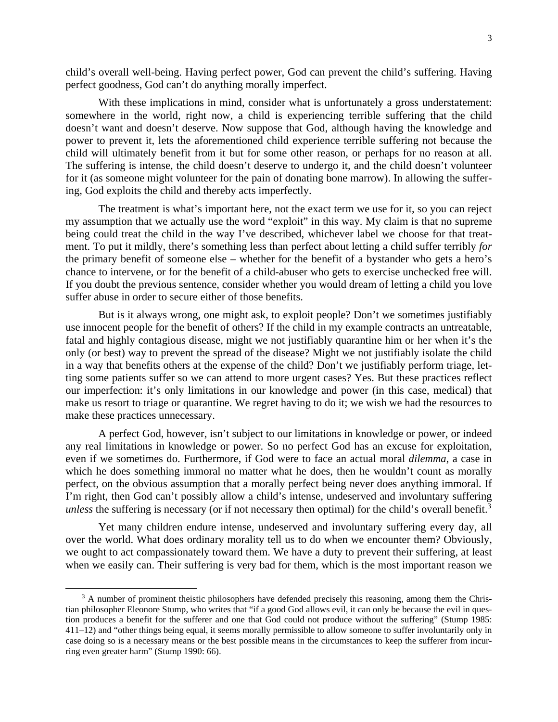child's overall well-being. Having perfect power, God can prevent the child's suffering. Having perfect goodness, God can't do anything morally imperfect.

With these implications in mind, consider what is unfortunately a gross understatement: somewhere in the world, right now, a child is experiencing terrible suffering that the child doesn't want and doesn't deserve. Now suppose that God, although having the knowledge and power to prevent it, lets the aforementioned child experience terrible suffering not because the child will ultimately benefit from it but for some other reason, or perhaps for no reason at all. The suffering is intense, the child doesn't deserve to undergo it, and the child doesn't volunteer for it (as someone might volunteer for the pain of donating bone marrow). In allowing the suffering, God exploits the child and thereby acts imperfectly.

 The treatment is what's important here, not the exact term we use for it, so you can reject my assumption that we actually use the word "exploit" in this way. My claim is that no supreme being could treat the child in the way I've described, whichever label we choose for that treatment. To put it mildly, there's something less than perfect about letting a child suffer terribly *for* the primary benefit of someone else – whether for the benefit of a bystander who gets a hero's chance to intervene, or for the benefit of a child-abuser who gets to exercise unchecked free will. If you doubt the previous sentence, consider whether you would dream of letting a child you love suffer abuse in order to secure either of those benefits.

 But is it always wrong, one might ask, to exploit people? Don't we sometimes justifiably use innocent people for the benefit of others? If the child in my example contracts an untreatable, fatal and highly contagious disease, might we not justifiably quarantine him or her when it's the only (or best) way to prevent the spread of the disease? Might we not justifiably isolate the child in a way that benefits others at the expense of the child? Don't we justifiably perform triage, letting some patients suffer so we can attend to more urgent cases? Yes. But these practices reflect our imperfection: it's only limitations in our knowledge and power (in this case, medical) that make us resort to triage or quarantine. We regret having to do it; we wish we had the resources to make these practices unnecessary.

 A perfect God, however, isn't subject to our limitations in knowledge or power, or indeed any real limitations in knowledge or power. So no perfect God has an excuse for exploitation, even if we sometimes do. Furthermore, if God were to face an actual moral *dilemma*, a case in which he does something immoral no matter what he does, then he wouldn't count as morally perfect, on the obvious assumption that a morally perfect being never does anything immoral. If I'm right, then God can't possibly allow a child's intense, undeserved and involuntary suffering *unless* the suffering is necessary (or if not necessary then optimal) for the child's overall benefit.<sup>3</sup>

 Yet many children endure intense, undeserved and involuntary suffering every day, all over the world. What does ordinary morality tell us to do when we encounter them? Obviously, we ought to act compassionately toward them. We have a duty to prevent their suffering, at least when we easily can. Their suffering is very bad for them, which is the most important reason we

 $\frac{1}{3}$  $3$  A number of prominent theistic philosophers have defended precisely this reasoning, among them the Christian philosopher Eleonore Stump, who writes that "if a good God allows evil, it can only be because the evil in question produces a benefit for the sufferer and one that God could not produce without the suffering" (Stump 1985: 411–12) and "other things being equal, it seems morally permissible to allow someone to suffer involuntarily only in case doing so is a necessary means or the best possible means in the circumstances to keep the sufferer from incurring even greater harm" (Stump 1990: 66).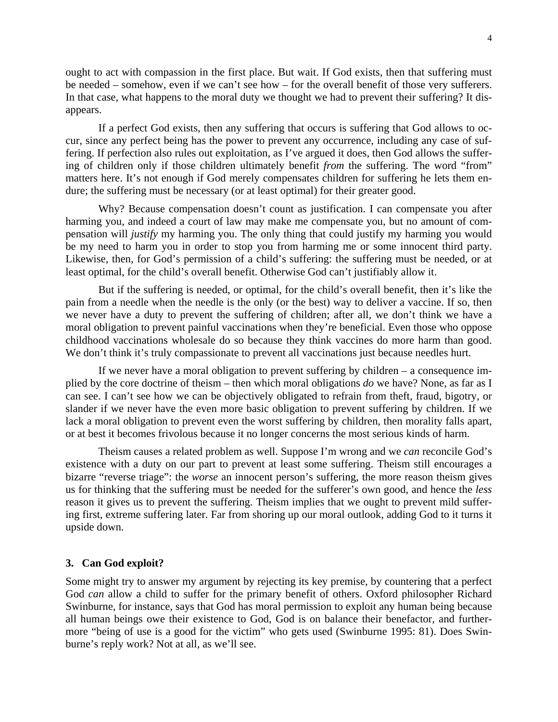ought to act with compassion in the first place. But wait. If God exists, then that suffering must be needed – somehow, even if we can't see how – for the overall benefit of those very sufferers. In that case, what happens to the moral duty we thought we had to prevent their suffering? It disappears.

 If a perfect God exists, then any suffering that occurs is suffering that God allows to occur, since any perfect being has the power to prevent any occurrence, including any case of suffering. If perfection also rules out exploitation, as I've argued it does, then God allows the suffering of children only if those children ultimately benefit *from* the suffering. The word "from" matters here. It's not enough if God merely compensates children for suffering he lets them endure; the suffering must be necessary (or at least optimal) for their greater good.

 Why? Because compensation doesn't count as justification. I can compensate you after harming you, and indeed a court of law may make me compensate you, but no amount of compensation will *justify* my harming you. The only thing that could justify my harming you would be my need to harm you in order to stop you from harming me or some innocent third party. Likewise, then, for God's permission of a child's suffering: the suffering must be needed, or at least optimal, for the child's overall benefit. Otherwise God can't justifiably allow it.

 But if the suffering is needed, or optimal, for the child's overall benefit, then it's like the pain from a needle when the needle is the only (or the best) way to deliver a vaccine. If so, then we never have a duty to prevent the suffering of children; after all, we don't think we have a moral obligation to prevent painful vaccinations when they're beneficial. Even those who oppose childhood vaccinations wholesale do so because they think vaccines do more harm than good. We don't think it's truly compassionate to prevent all vaccinations just because needles hurt.

 If we never have a moral obligation to prevent suffering by children – a consequence implied by the core doctrine of theism – then which moral obligations *do* we have? None, as far as I can see. I can't see how we can be objectively obligated to refrain from theft, fraud, bigotry, or slander if we never have the even more basic obligation to prevent suffering by children. If we lack a moral obligation to prevent even the worst suffering by children, then morality falls apart, or at best it becomes frivolous because it no longer concerns the most serious kinds of harm.

 Theism causes a related problem as well. Suppose I'm wrong and we *can* reconcile God's existence with a duty on our part to prevent at least some suffering. Theism still encourages a bizarre "reverse triage": the *worse* an innocent person's suffering, the more reason theism gives us for thinking that the suffering must be needed for the sufferer's own good, and hence the *less* reason it gives us to prevent the suffering. Theism implies that we ought to prevent mild suffering first, extreme suffering later. Far from shoring up our moral outlook, adding God to it turns it upside down.

# **3. Can God exploit?**

Some might try to answer my argument by rejecting its key premise, by countering that a perfect God *can* allow a child to suffer for the primary benefit of others. Oxford philosopher Richard Swinburne, for instance, says that God has moral permission to exploit any human being because all human beings owe their existence to God, God is on balance their benefactor, and furthermore "being of use is a good for the victim" who gets used (Swinburne 1995: 81). Does Swinburne's reply work? Not at all, as we'll see.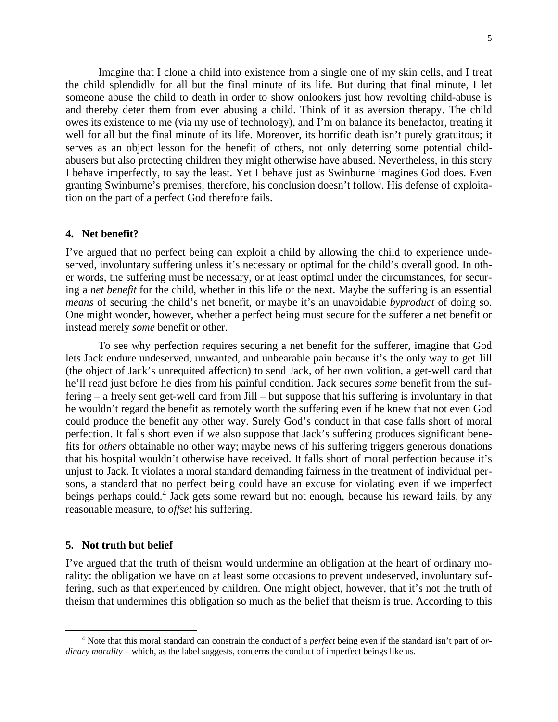Imagine that I clone a child into existence from a single one of my skin cells, and I treat the child splendidly for all but the final minute of its life. But during that final minute, I let someone abuse the child to death in order to show onlookers just how revolting child-abuse is and thereby deter them from ever abusing a child. Think of it as aversion therapy. The child owes its existence to me (via my use of technology), and I'm on balance its benefactor, treating it well for all but the final minute of its life. Moreover, its horrific death isn't purely gratuitous; it serves as an object lesson for the benefit of others, not only deterring some potential childabusers but also protecting children they might otherwise have abused. Nevertheless, in this story I behave imperfectly, to say the least. Yet I behave just as Swinburne imagines God does. Even granting Swinburne's premises, therefore, his conclusion doesn't follow. His defense of exploitation on the part of a perfect God therefore fails.

# **4. Net benefit?**

I've argued that no perfect being can exploit a child by allowing the child to experience undeserved, involuntary suffering unless it's necessary or optimal for the child's overall good. In other words, the suffering must be necessary, or at least optimal under the circumstances, for securing a *net benefit* for the child, whether in this life or the next. Maybe the suffering is an essential *means* of securing the child's net benefit, or maybe it's an unavoidable *byproduct* of doing so. One might wonder, however, whether a perfect being must secure for the sufferer a net benefit or instead merely *some* benefit or other.

 To see why perfection requires securing a net benefit for the sufferer, imagine that God lets Jack endure undeserved, unwanted, and unbearable pain because it's the only way to get Jill (the object of Jack's unrequited affection) to send Jack, of her own volition, a get-well card that he'll read just before he dies from his painful condition. Jack secures *some* benefit from the suffering – a freely sent get-well card from Jill – but suppose that his suffering is involuntary in that he wouldn't regard the benefit as remotely worth the suffering even if he knew that not even God could produce the benefit any other way. Surely God's conduct in that case falls short of moral perfection. It falls short even if we also suppose that Jack's suffering produces significant benefits for *others* obtainable no other way; maybe news of his suffering triggers generous donations that his hospital wouldn't otherwise have received. It falls short of moral perfection because it's unjust to Jack. It violates a moral standard demanding fairness in the treatment of individual persons, a standard that no perfect being could have an excuse for violating even if we imperfect beings perhaps could.<sup>4</sup> Jack gets some reward but not enough, because his reward fails, by any reasonable measure, to *offset* his suffering.

#### **5. Not truth but belief**

I've argued that the truth of theism would undermine an obligation at the heart of ordinary morality: the obligation we have on at least some occasions to prevent undeserved, involuntary suffering, such as that experienced by children. One might object, however, that it's not the truth of theism that undermines this obligation so much as the belief that theism is true. According to this

 $\overline{a}$  Note that this moral standard can constrain the conduct of a *perfect* being even if the standard isn't part of *ordinary morality* – which, as the label suggests, concerns the conduct of imperfect beings like us.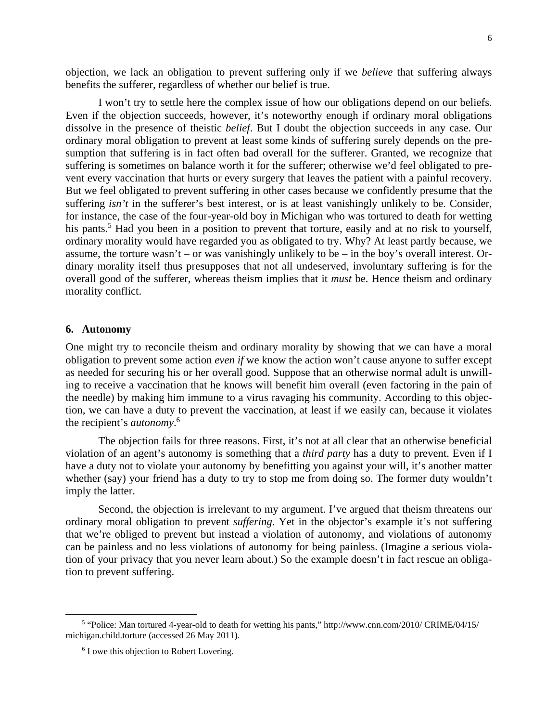objection, we lack an obligation to prevent suffering only if we *believe* that suffering always benefits the sufferer, regardless of whether our belief is true.

 I won't try to settle here the complex issue of how our obligations depend on our beliefs. Even if the objection succeeds, however, it's noteworthy enough if ordinary moral obligations dissolve in the presence of theistic *belief*. But I doubt the objection succeeds in any case. Our ordinary moral obligation to prevent at least some kinds of suffering surely depends on the presumption that suffering is in fact often bad overall for the sufferer. Granted, we recognize that suffering is sometimes on balance worth it for the sufferer; otherwise we'd feel obligated to prevent every vaccination that hurts or every surgery that leaves the patient with a painful recovery. But we feel obligated to prevent suffering in other cases because we confidently presume that the suffering *isn't* in the sufferer's best interest, or is at least vanishingly unlikely to be. Consider, for instance, the case of the four-year-old boy in Michigan who was tortured to death for wetting his pants.<sup>5</sup> Had you been in a position to prevent that torture, easily and at no risk to yourself, ordinary morality would have regarded you as obligated to try. Why? At least partly because, we assume, the torture wasn't – or was vanishingly unlikely to be – in the boy's overall interest. Ordinary morality itself thus presupposes that not all undeserved, involuntary suffering is for the overall good of the sufferer, whereas theism implies that it *must* be. Hence theism and ordinary morality conflict.

#### **6. Autonomy**

One might try to reconcile theism and ordinary morality by showing that we can have a moral obligation to prevent some action *even if* we know the action won't cause anyone to suffer except as needed for securing his or her overall good. Suppose that an otherwise normal adult is unwilling to receive a vaccination that he knows will benefit him overall (even factoring in the pain of the needle) by making him immune to a virus ravaging his community. According to this objection, we can have a duty to prevent the vaccination, at least if we easily can, because it violates the recipient's *autonomy*. 6

 The objection fails for three reasons. First, it's not at all clear that an otherwise beneficial violation of an agent's autonomy is something that a *third party* has a duty to prevent. Even if I have a duty not to violate your autonomy by benefitting you against your will, it's another matter whether (say) your friend has a duty to try to stop me from doing so. The former duty wouldn't imply the latter.

 Second, the objection is irrelevant to my argument. I've argued that theism threatens our ordinary moral obligation to prevent *suffering*. Yet in the objector's example it's not suffering that we're obliged to prevent but instead a violation of autonomy, and violations of autonomy can be painless and no less violations of autonomy for being painless. (Imagine a serious violation of your privacy that you never learn about.) So the example doesn't in fact rescue an obligation to prevent suffering.

 $\frac{1}{5}$ <sup>5</sup> "Police: Man tortured 4-year-old to death for wetting his pants," http://www.cnn.com/2010/ CRIME/04/15/ michigan.child.torture (accessed 26 May 2011).

<sup>&</sup>lt;sup>6</sup> I owe this objection to Robert Lovering.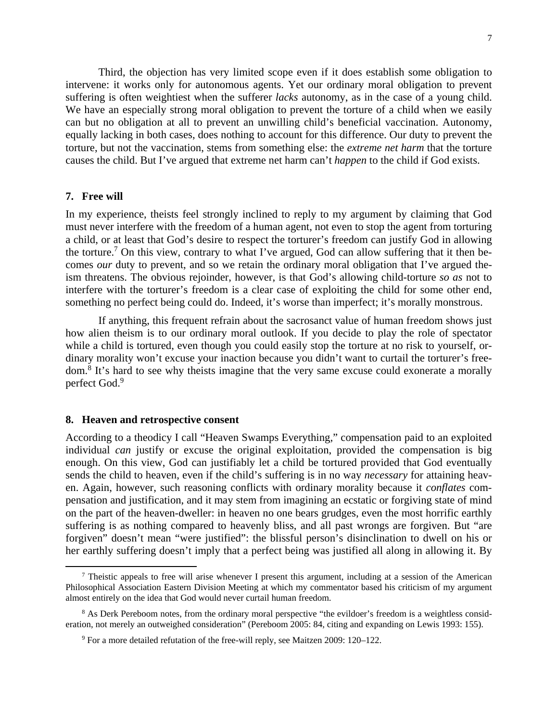Third, the objection has very limited scope even if it does establish some obligation to intervene: it works only for autonomous agents. Yet our ordinary moral obligation to prevent suffering is often weightiest when the sufferer *lacks* autonomy, as in the case of a young child. We have an especially strong moral obligation to prevent the torture of a child when we easily can but no obligation at all to prevent an unwilling child's beneficial vaccination. Autonomy, equally lacking in both cases, does nothing to account for this difference. Our duty to prevent the torture, but not the vaccination, stems from something else: the *extreme net harm* that the torture causes the child. But I've argued that extreme net harm can't *happen* to the child if God exists.

### **7. Free will**

In my experience, theists feel strongly inclined to reply to my argument by claiming that God must never interfere with the freedom of a human agent, not even to stop the agent from torturing a child, or at least that God's desire to respect the torturer's freedom can justify God in allowing the torture.<sup>7</sup> On this view, contrary to what I've argued, God can allow suffering that it then becomes *our* duty to prevent, and so we retain the ordinary moral obligation that I've argued theism threatens. The obvious rejoinder, however, is that God's allowing child-torture *so as* not to interfere with the torturer's freedom is a clear case of exploiting the child for some other end, something no perfect being could do. Indeed, it's worse than imperfect; it's morally monstrous.

 If anything, this frequent refrain about the sacrosanct value of human freedom shows just how alien theism is to our ordinary moral outlook. If you decide to play the role of spectator while a child is tortured, even though you could easily stop the torture at no risk to yourself, ordinary morality won't excuse your inaction because you didn't want to curtail the torturer's freedom.<sup>8</sup> It's hard to see why theists imagine that the very same excuse could exonerate a morally perfect God.9

# **8. Heaven and retrospective consent**

According to a theodicy I call "Heaven Swamps Everything," compensation paid to an exploited individual *can* justify or excuse the original exploitation, provided the compensation is big enough. On this view, God can justifiably let a child be tortured provided that God eventually sends the child to heaven, even if the child's suffering is in no way *necessary* for attaining heaven. Again, however, such reasoning conflicts with ordinary morality because it *conflates* compensation and justification, and it may stem from imagining an ecstatic or forgiving state of mind on the part of the heaven-dweller: in heaven no one bears grudges, even the most horrific earthly suffering is as nothing compared to heavenly bliss, and all past wrongs are forgiven. But "are forgiven" doesn't mean "were justified": the blissful person's disinclination to dwell on his or her earthly suffering doesn't imply that a perfect being was justified all along in allowing it. By

 $\frac{1}{7}$  $7$  Theistic appeals to free will arise whenever I present this argument, including at a session of the American Philosophical Association Eastern Division Meeting at which my commentator based his criticism of my argument almost entirely on the idea that God would never curtail human freedom.

<sup>&</sup>lt;sup>8</sup> As Derk Pereboom notes, from the ordinary moral perspective "the evildoer's freedom is a weightless consideration, not merely an outweighed consideration" (Pereboom 2005: 84, citing and expanding on Lewis 1993: 155).

<sup>&</sup>lt;sup>9</sup> For a more detailed refutation of the free-will reply, see Maitzen 2009: 120–122.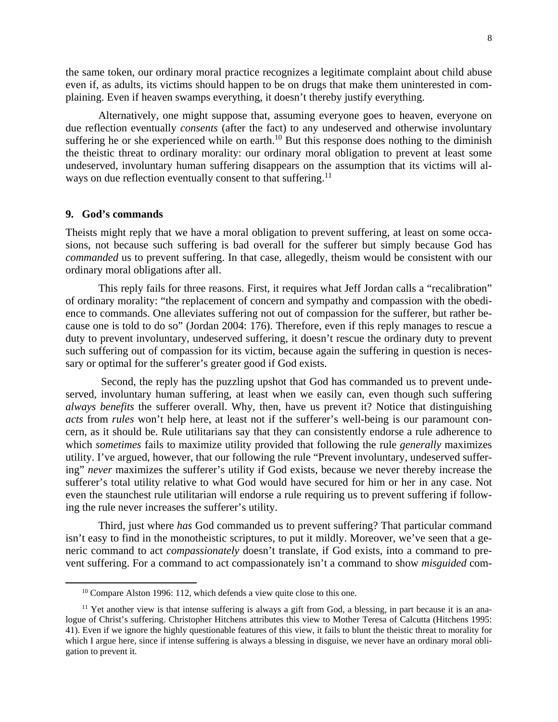the same token, our ordinary moral practice recognizes a legitimate complaint about child abuse even if, as adults, its victims should happen to be on drugs that make them uninterested in complaining. Even if heaven swamps everything, it doesn't thereby justify everything.

 Alternatively, one might suppose that, assuming everyone goes to heaven, everyone on due reflection eventually *consents* (after the fact) to any undeserved and otherwise involuntary suffering he or she experienced while on earth.<sup>10</sup> But this response does nothing to the diminish the theistic threat to ordinary morality: our ordinary moral obligation to prevent at least some undeserved, involuntary human suffering disappears on the assumption that its victims will always on due reflection eventually consent to that suffering.<sup>11</sup>

# **9. God's commands**

Theists might reply that we have a moral obligation to prevent suffering, at least on some occasions, not because such suffering is bad overall for the sufferer but simply because God has *commanded* us to prevent suffering. In that case, allegedly, theism would be consistent with our ordinary moral obligations after all.

 This reply fails for three reasons. First, it requires what Jeff Jordan calls a "recalibration" of ordinary morality: "the replacement of concern and sympathy and compassion with the obedience to commands. One alleviates suffering not out of compassion for the sufferer, but rather because one is told to do so" (Jordan 2004: 176). Therefore, even if this reply manages to rescue a duty to prevent involuntary, undeserved suffering, it doesn't rescue the ordinary duty to prevent such suffering out of compassion for its victim, because again the suffering in question is necessary or optimal for the sufferer's greater good if God exists.

 Second, the reply has the puzzling upshot that God has commanded us to prevent undeserved, involuntary human suffering, at least when we easily can, even though such suffering *always benefits* the sufferer overall. Why, then, have us prevent it? Notice that distinguishing *acts* from *rules* won't help here, at least not if the sufferer's well-being is our paramount concern, as it should be. Rule utilitarians say that they can consistently endorse a rule adherence to which *sometimes* fails to maximize utility provided that following the rule *generally* maximizes utility. I've argued, however, that our following the rule "Prevent involuntary, undeserved suffering" *never* maximizes the sufferer's utility if God exists, because we never thereby increase the sufferer's total utility relative to what God would have secured for him or her in any case. Not even the staunchest rule utilitarian will endorse a rule requiring us to prevent suffering if following the rule never increases the sufferer's utility.

 Third, just where *has* God commanded us to prevent suffering? That particular command isn't easy to find in the monotheistic scriptures, to put it mildly. Moreover, we've seen that a generic command to act *compassionately* doesn't translate, if God exists, into a command to prevent suffering. For a command to act compassionately isn't a command to show *misguided* com-

<sup>&</sup>lt;sup>10</sup> Compare Alston 1996: 112, which defends a view quite close to this one.

 $11$  Yet another view is that intense suffering is always a gift from God, a blessing, in part because it is an analogue of Christ's suffering. Christopher Hitchens attributes this view to Mother Teresa of Calcutta (Hitchens 1995: 41). Even if we ignore the highly questionable features of this view, it fails to blunt the theistic threat to morality for which I argue here, since if intense suffering is always a blessing in disguise, we never have an ordinary moral obligation to prevent it.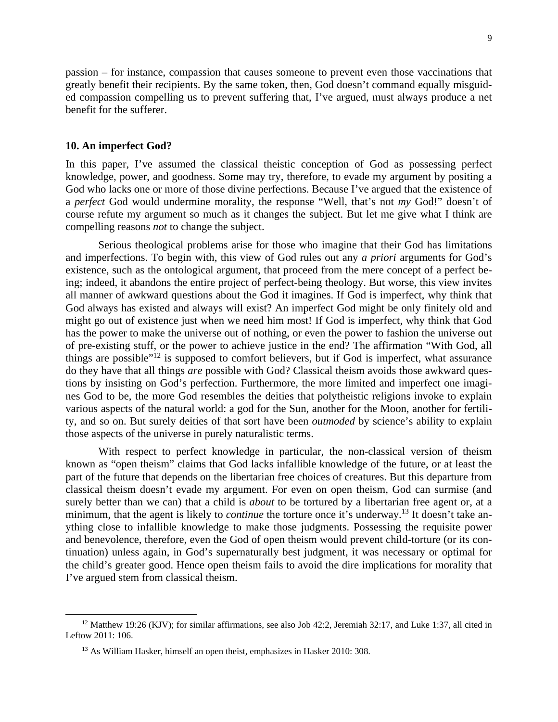passion – for instance, compassion that causes someone to prevent even those vaccinations that greatly benefit their recipients. By the same token, then, God doesn't command equally misguided compassion compelling us to prevent suffering that, I've argued, must always produce a net benefit for the sufferer.

# **10. An imperfect God?**

In this paper, I've assumed the classical theistic conception of God as possessing perfect knowledge, power, and goodness. Some may try, therefore, to evade my argument by positing a God who lacks one or more of those divine perfections. Because I've argued that the existence of a *perfect* God would undermine morality, the response "Well, that's not *my* God!" doesn't of course refute my argument so much as it changes the subject. But let me give what I think are compelling reasons *not* to change the subject.

 Serious theological problems arise for those who imagine that their God has limitations and imperfections. To begin with, this view of God rules out any *a priori* arguments for God's existence, such as the ontological argument, that proceed from the mere concept of a perfect being; indeed, it abandons the entire project of perfect-being theology. But worse, this view invites all manner of awkward questions about the God it imagines. If God is imperfect, why think that God always has existed and always will exist? An imperfect God might be only finitely old and might go out of existence just when we need him most! If God is imperfect, why think that God has the power to make the universe out of nothing, or even the power to fashion the universe out of pre-existing stuff, or the power to achieve justice in the end? The affirmation "With God, all things are possible"12 is supposed to comfort believers, but if God is imperfect, what assurance do they have that all things *are* possible with God? Classical theism avoids those awkward questions by insisting on God's perfection. Furthermore, the more limited and imperfect one imagines God to be, the more God resembles the deities that polytheistic religions invoke to explain various aspects of the natural world: a god for the Sun, another for the Moon, another for fertility, and so on. But surely deities of that sort have been *outmoded* by science's ability to explain those aspects of the universe in purely naturalistic terms.

 With respect to perfect knowledge in particular, the non-classical version of theism known as "open theism" claims that God lacks infallible knowledge of the future, or at least the part of the future that depends on the libertarian free choices of creatures. But this departure from classical theism doesn't evade my argument. For even on open theism, God can surmise (and surely better than we can) that a child is *about* to be tortured by a libertarian free agent or, at a minimum, that the agent is likely to *continue* the torture once it's underway.<sup>13</sup> It doesn't take anything close to infallible knowledge to make those judgments. Possessing the requisite power and benevolence, therefore, even the God of open theism would prevent child-torture (or its continuation) unless again, in God's supernaturally best judgment, it was necessary or optimal for the child's greater good. Hence open theism fails to avoid the dire implications for morality that I've argued stem from classical theism.

<sup>&</sup>lt;sup>12</sup> Matthew 19:26 (KJV); for similar affirmations, see also Job 42:2, Jeremiah 32:17, and Luke 1:37, all cited in Leftow 2011: 106.

<sup>&</sup>lt;sup>13</sup> As William Hasker, himself an open theist, emphasizes in Hasker 2010: 308.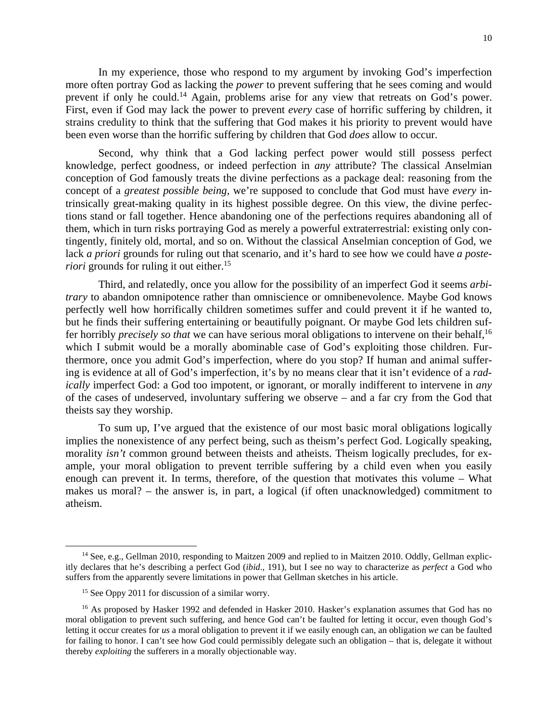In my experience, those who respond to my argument by invoking God's imperfection more often portray God as lacking the *power* to prevent suffering that he sees coming and would prevent if only he could.<sup>14</sup> Again, problems arise for any view that retreats on God's power. First, even if God may lack the power to prevent *every* case of horrific suffering by children, it strains credulity to think that the suffering that God makes it his priority to prevent would have been even worse than the horrific suffering by children that God *does* allow to occur.

 Second, why think that a God lacking perfect power would still possess perfect knowledge, perfect goodness, or indeed perfection in *any* attribute? The classical Anselmian conception of God famously treats the divine perfections as a package deal: reasoning from the concept of a *greatest possible being*, we're supposed to conclude that God must have *every* intrinsically great-making quality in its highest possible degree. On this view, the divine perfections stand or fall together. Hence abandoning one of the perfections requires abandoning all of them, which in turn risks portraying God as merely a powerful extraterrestrial: existing only contingently, finitely old, mortal, and so on. Without the classical Anselmian conception of God, we lack *a priori* grounds for ruling out that scenario, and it's hard to see how we could have *a posteriori* grounds for ruling it out either.<sup>15</sup>

 Third, and relatedly, once you allow for the possibility of an imperfect God it seems *arbitrary* to abandon omnipotence rather than omniscience or omnibenevolence. Maybe God knows perfectly well how horrifically children sometimes suffer and could prevent it if he wanted to, but he finds their suffering entertaining or beautifully poignant. Or maybe God lets children suffer horribly *precisely so that* we can have serious moral obligations to intervene on their behalf,16 which I submit would be a morally abominable case of God's exploiting those children. Furthermore, once you admit God's imperfection, where do you stop? If human and animal suffering is evidence at all of God's imperfection, it's by no means clear that it isn't evidence of a *radically* imperfect God: a God too impotent, or ignorant, or morally indifferent to intervene in *any* of the cases of undeserved, involuntary suffering we observe – and a far cry from the God that theists say they worship.

 To sum up, I've argued that the existence of our most basic moral obligations logically implies the nonexistence of any perfect being, such as theism's perfect God. Logically speaking, morality *isn't* common ground between theists and atheists. Theism logically precludes, for example, your moral obligation to prevent terrible suffering by a child even when you easily enough can prevent it. In terms, therefore, of the question that motivates this volume – What makes us moral? – the answer is, in part, a logical (if often unacknowledged) commitment to atheism.

<sup>&</sup>lt;sup>14</sup> See, e.g., Gellman 2010, responding to Maitzen 2009 and replied to in Maitzen 2010. Oddly, Gellman explicitly declares that he's describing a perfect God (*ibid*., 191), but I see no way to characterize as *perfect* a God who suffers from the apparently severe limitations in power that Gellman sketches in his article.

<sup>&</sup>lt;sup>15</sup> See Oppy 2011 for discussion of a similar worry.

<sup>&</sup>lt;sup>16</sup> As proposed by Hasker 1992 and defended in Hasker 2010. Hasker's explanation assumes that God has no moral obligation to prevent such suffering, and hence God can't be faulted for letting it occur, even though God's letting it occur creates for *us* a moral obligation to prevent it if we easily enough can, an obligation *we* can be faulted for failing to honor. I can't see how God could permissibly delegate such an obligation – that is, delegate it without thereby *exploiting* the sufferers in a morally objectionable way.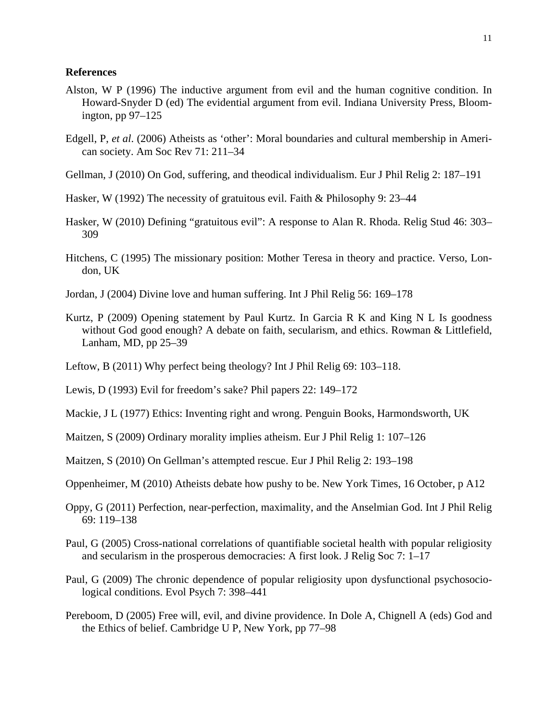# **References**

- Alston, W P (1996) The inductive argument from evil and the human cognitive condition. In Howard-Snyder D (ed) The evidential argument from evil. Indiana University Press, Bloomington, pp 97–125
- Edgell, P, *et al*. (2006) Atheists as 'other': Moral boundaries and cultural membership in American society. Am Soc Rev 71: 211–34
- Gellman, J (2010) On God, suffering, and theodical individualism. Eur J Phil Relig 2: 187–191
- Hasker, W (1992) The necessity of gratuitous evil. Faith & Philosophy 9: 23–44
- Hasker, W (2010) Defining "gratuitous evil": A response to Alan R. Rhoda. Relig Stud 46: 303– 309
- Hitchens, C (1995) The missionary position: Mother Teresa in theory and practice. Verso, London, UK
- Jordan, J (2004) Divine love and human suffering. Int J Phil Relig 56: 169–178
- Kurtz, P (2009) Opening statement by Paul Kurtz. In Garcia R K and King N L Is goodness without God good enough? A debate on faith, secularism, and ethics. Rowman & Littlefield, Lanham, MD, pp 25–39
- Leftow, B (2011) Why perfect being theology? Int J Phil Relig 69: 103–118.

Lewis, D (1993) Evil for freedom's sake? Phil papers 22: 149–172

Mackie, J L (1977) Ethics: Inventing right and wrong. Penguin Books, Harmondsworth, UK

Maitzen, S (2009) Ordinary morality implies atheism. Eur J Phil Relig 1: 107–126

Maitzen, S (2010) On Gellman's attempted rescue. Eur J Phil Relig 2: 193–198

Oppenheimer, M (2010) Atheists debate how pushy to be. New York Times, 16 October, p A12

- Oppy, G (2011) Perfection, near-perfection, maximality, and the Anselmian God. Int J Phil Relig 69: 119–138
- Paul, G (2005) Cross-national correlations of quantifiable societal health with popular religiosity and secularism in the prosperous democracies: A first look. J Relig Soc 7: 1–17
- Paul, G (2009) The chronic dependence of popular religiosity upon dysfunctional psychosociological conditions. Evol Psych 7: 398–441
- Pereboom, D (2005) Free will, evil, and divine providence. In Dole A, Chignell A (eds) God and the Ethics of belief. Cambridge U P, New York, pp 77–98